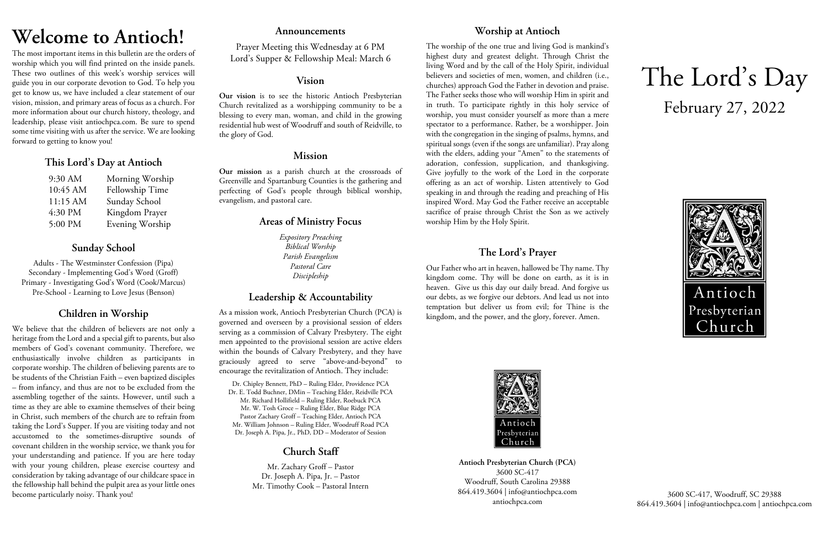# **Welcome to Antioch!**

The most important items in this bulletin are the orders of worship which you will find printed on the inside panels. These two outlines of this week's worship services will guide you in our corporate devotion to God. To help you get to know us, we have included a clear statement of our vision, mission, and primary areas of focus as a church. For more information about our church history, theology, and leadership, please visit antiochpca.com. Be sure to spend some time visiting with us after the service. We are looking forward to getting to know you!

# **This Lord's Day at Antioch**

| 9:30 AM  | Morning Worship |
|----------|-----------------|
| 10:45 AM | Fellowship Time |
| 11:15 AM | Sunday School   |
| 4:30 PM  | Kingdom Prayer  |
| 5:00 PM  | Evening Worship |

# **Sunday School**

Adults - The Westminster Confession (Pipa) Secondary - Implementing God's Word (Groff) Primary - Investigating God's Word (Cook/Marcus) Pre-School - Learning to Love Jesus (Benson)

# **Children in Worship**

We believe that the children of believers are not only a heritage from the Lord and a special gift to parents, but also members of God's covenant community. Therefore, we enthusiastically involve children as participants in corporate worship. The children of believing parents are to be students of the Christian Faith – even baptized disciples – from infancy, and thus are not to be excluded from the assembling together of the saints. However, until such a time as they are able to examine themselves of their being in Christ, such members of the church are to refrain from taking the Lord's Supper. If you are visiting today and not accustomed to the sometimes-disruptive sounds of covenant children in the worship service, we thank you for your understanding and patience. If you are here today with your young children, please exercise courtesy and consideration by taking advantage of our childcare space in the fellowship hall behind the pulpit area as your little ones become particularly noisy. Thank you!

### **Announcements**

Prayer Meeting this Wednesday at 6 PM Lord's Supper & Fellowship Meal: March 6

### **Vision**

**Our vision** is to see the historic Antioch Presbyterian Church revitalized as a worshipping community to be a blessing to every man, woman, and child in the growing residential hub west of Woodruff and south of Reidville, to the glory of God.

# **Mission**

**Our mission** as a parish church at the crossroads of Greenville and Spartanburg Counties is the gathering and perfecting of God's people through biblical worship, evangelism, and pastoral care.

## **Areas of Ministry Focus**

*Expository Preaching Biblical Worship Parish Evangelism Pastoral Care Discipleship*

# **Leadership & Accountability**

As a mission work, Antioch Presbyterian Church (PCA) is governed and overseen by a provisional session of elders serving as a commission of Calvary Presbytery. The eight men appointed to the provisional session are active elders within the bounds of Calvary Presbytery, and they have graciously agreed to serve "above-and-beyond" to encourage the revitalization of Antioch. They include:

Dr. Chipley Bennett, PhD – Ruling Elder, Providence PCA Dr. E. Todd Buchner, DMin – Teaching Elder, Reidville PCA Mr. Richard Hollifield – Ruling Elder, Roebuck PCA Mr. W. Tosh Groce – Ruling Elder, Blue Ridge PCA Pastor Zachary Groff – Teaching Elder, Antioch PCA Mr. William Johnson – Ruling Elder, Woodruff Road PCA Dr. Joseph A. Pipa, Jr., PhD, DD – Moderator of Session

# **Church Staff**

Mr. Zachary Groff – Pastor Dr. Joseph A. Pipa, Jr. – Pastor Mr. Timothy Cook – Pastoral Intern

# **Worship at Antioch**

The worship of the one true and living God is mankind's highest duty and greatest delight. Through Christ the living Word and by the call of the Holy Spirit, individual believers and societies of men, women, and children (i.e., churches) approach God the Father in devotion and praise. The Father seeks those who will worship Him in spirit and in truth. To participate rightly in this holy service of worship, you must consider yourself as more than a mere spectator to a performance. Rather, be a worshipper. Join with the congregation in the singing of psalms, hymns, and spiritual songs (even if the songs are unfamiliar). Pray along with the elders, adding your "Amen" to the statements of adoration, confession, supplication, and thanksgiving. Give joyfully to the work of the Lord in the corporate offering as an act of worship. Listen attentively to God speaking in and through the reading and preaching of His inspired Word. May God the Father receive an acceptable sacrifice of praise through Christ the Son as we actively worship Him by the Holy Spirit.

# **The Lord's Prayer**

Our Father who art in heaven, hallowed be Thy name. Thy kingdom come. Thy will be done on earth, as it is in heaven. Give us this day our daily bread. And forgive us our debts, as we forgive our debtors. And lead us not into temptation but deliver us from evil; for Thine is the kingdom, and the power, and the glory, forever. Amen.



**Antioch Presbyterian Church (PCA)** 3600 SC-417 Woodruff, South Carolina 29388 864.419.3604 | info@antiochpca.com antiochpca.com

# The Lord's Day February 27, 2022



3600 SC-417, Woodruff, SC 29388 864.419.3604 | info@antiochpca.com | antiochpca.com